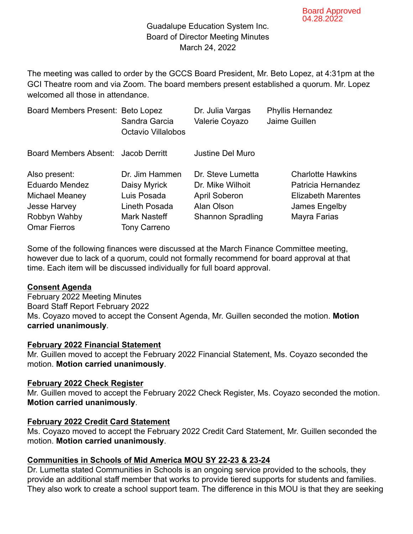### Guadalupe Education System Inc. Board of Director Meeting Minutes March 24, 2022

The meeting was called to order by the GCCS Board President, Mr. Beto Lopez, at 4:31pm at the GCI Theatre room and via Zoom. The board members present established a quorum. Mr. Lopez welcomed all those in attendance

| Board Members Present: Beto Lopez   | Sandra Garcia                       | Dr. Julia Vargas         | <b>Phyllis Hernandez</b>  |
|-------------------------------------|-------------------------------------|--------------------------|---------------------------|
|                                     | <b>Octavio Villalobos</b>           | Valerie Coyazo           | Jaime Guillen             |
| Board Members Absent: Jacob Derritt |                                     | <b>Justine Del Muro</b>  |                           |
| Also present:                       | Dr. Jim Hammen                      | Dr. Steve Lumetta        | <b>Charlotte Hawkins</b>  |
| <b>Eduardo Mendez</b>               | Daisy Myrick                        | Dr. Mike Wilhoit         | Patricia Hernandez        |
| Michael Meaney                      | Luis Posada                         | <b>April Soberon</b>     | <b>Elizabeth Marentes</b> |
| <b>Jesse Harvey</b>                 | Lineth Posada                       | Alan Olson               | James Engelby             |
| Robbyn Wahby<br><b>Omar Fierros</b> | Mark Nasteff<br><b>Tony Carreno</b> | <b>Shannon Spradling</b> | Mayra Farias              |

Some of the following finances were discussed at the March Finance Committee meeting, however due to lack of a quorum, could not formally recommend for board approval at that time. Each item will be discussed individually for full board approval.

### **Consent Agenda**

February 2022 Meeting Minutes Board Staff Report February 2022 Ms. Coyazo moved to accept the Consent Agenda, Mr. Guillen seconded the motion. **Motion carried unanimously**.

#### **February 2022 Financial Statement**

Mr. Guillen moved to accept the February 2022 Financial Statement, Ms. Coyazo seconded the motion. **Motion carried unanimously**.

### **February 2022 Check Register**

Mr. Guillen moved to accept the February 2022 Check Register, Ms. Coyazo seconded the motion. **Motion carried unanimously**.

### **February 2022 Credit Card Statement**

Ms. Coyazo moved to accept the February 2022 Credit Card Statement, Mr. Guillen seconded the motion. **Motion carried unanimously**.

# **Communities in Schools of Mid America MOU SY 22-23 & 23-24**

Dr. Lumetta stated Communities in Schools is an ongoing service provided to the schools, they provide an additional staff member that works to provide tiered supports for students and families. They also work to create a school support team. The difference in this MOU is that they are seeking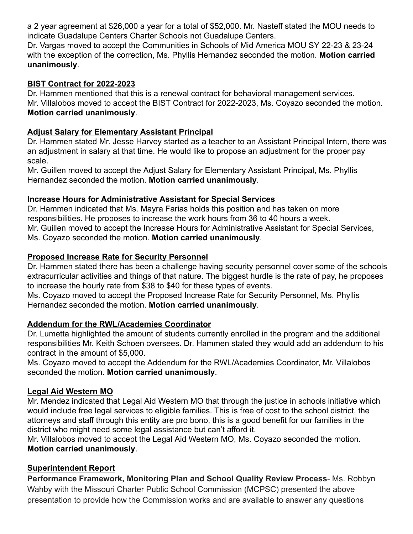a 2 year agreement at \$26,000 a year for a total of \$52,000. Mr. Nasteff stated the MOU needs to indicate Guadalupe Centers Charter Schools not Guadalupe Centers.

Dr. Vargas moved to accept the Communities in Schools of Mid America MOU SY 22-23 & 23-24 with the exception of the correction, Ms. Phyllis Hernandez seconded the motion. **Motion carried unanimously**.

### **BIST Contract for 2022-2023**

Dr. Hammen mentioned that this is a renewal contract for behavioral management services. Mr. Villalobos moved to accept the BIST Contract for 2022-2023, Ms. Coyazo seconded the motion. **Motion carried unanimously**.

## **Adjust Salary for Elementary Assistant Principal**

Dr. Hammen stated Mr. Jesse Harvey started as a teacher to an Assistant Principal Intern, there was an adjustment in salary at that time. He would like to propose an adjustment for the proper pay scale.

Mr. Guillen moved to accept the Adjust Salary for Elementary Assistant Principal, Ms. Phyllis Hernandez seconded the motion. **Motion carried unanimously**.

## **Increase Hours for Administrative Assistant for Special Services**

Dr. Hammen indicated that Ms. Mayra Farias holds this position and has taken on more responsibilities. He proposes to increase the work hours from 36 to 40 hours a week. Mr. Guillen moved to accept the Increase Hours for Administrative Assistant for Special Services, Ms. Coyazo seconded the motion. **Motion carried unanimously**.

## **Proposed Increase Rate for Security Personnel**

Dr. Hammen stated there has been a challenge having security personnel cover some of the schools extracurricular activities and things of that nature. The biggest hurdle is the rate of pay, he proposes to increase the hourly rate from \$38 to \$40 for these types of events.

Ms. Coyazo moved to accept the Proposed Increase Rate for Security Personnel, Ms. Phyllis Hernandez seconded the motion. **Motion carried unanimously**.

# **Addendum for the RWL/Academies Coordinator**

Dr. Lumetta highlighted the amount of students currently enrolled in the program and the additional responsibilities Mr. Keith Schoen oversees. Dr. Hammen stated they would add an addendum to his contract in the amount of \$5,000.

Ms. Coyazo moved to accept the Addendum for the RWL/Academies Coordinator, Mr. Villalobos seconded the motion. **Motion carried unanimously**.

# **Legal Aid Western MO**

Mr. Mendez indicated that Legal Aid Western MO that through the justice in schools initiative which would include free legal services to eligible families. This is free of cost to the school district, the attorneys and staff through this entity are pro bono, this is a good benefit for our families in the district who might need some legal assistance but can't afford it.

Mr. Villalobos moved to accept the Legal Aid Western MO, Ms. Coyazo seconded the motion. **Motion carried unanimously**.

# **Superintendent Report**

**Performance Framework, Monitoring Plan and School Quality Review Process**- Ms. Robbyn Wahby with the Missouri Charter Public School Commission (MCPSC) presented the above presentation to provide how the Commission works and are available to answer any questions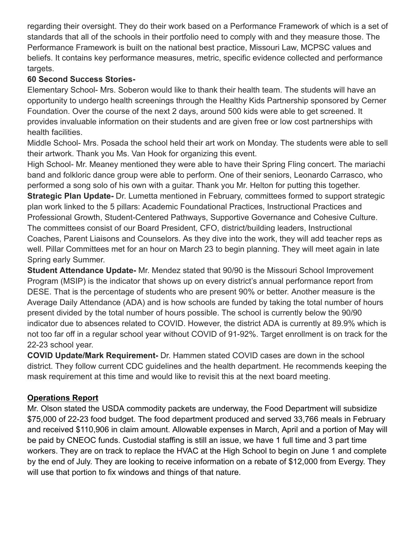regarding their oversight. They do their work based on a Performance Framework of which is a set of standards that all of the schools in their portfolio need to comply with and they measure those. The Performance Framework is built on the national best practice, Missouri Law, MCPSC values and beliefs. It contains key performance measures, metric, specific evidence collected and performance targets.

## **60 Second Success Stories-**

Elementary School- Mrs. Soberon would like to thank their health team. The students will have an opportunity to undergo health screenings through the Healthy Kids Partnership sponsored by Cerner Foundation. Over the course of the next 2 days, around 500 kids were able to get screened. It provides invaluable information on their students and are given free or low cost partnerships with health facilities.

Middle School- Mrs. Posada the school held their art work on Monday. The students were able to sell their artwork. Thank you Ms. Van Hook for organizing this event.

High School- Mr. Meaney mentioned they were able to have their Spring Fling concert. The mariachi band and folkloric dance group were able to perform. One of their seniors, Leonardo Carrasco, who performed a song solo of his own with a guitar. Thank you Mr. Helton for putting this together.

**Strategic Plan Update-** Dr. Lumetta mentioned in February, committees formed to support strategic plan work linked to the 5 pillars: Academic Foundational Practices, Instructional Practices and Professional Growth, Student-Centered Pathways, Supportive Governance and Cohesive Culture. The committees consist of our Board President, CFO, district/building leaders, Instructional Coaches, Parent Liaisons and Counselors. As they dive into the work, they will add teacher reps as well. Pillar Committees met for an hour on March 23 to begin planning. They will meet again in late Spring early Summer.

**Student Attendance Update-** Mr. Mendez stated that 90/90 is the Missouri School Improvement Program (MSIP) is the indicator that shows up on every district's annual performance report from DESE. That is the percentage of students who are present 90% or better. Another measure is the Average Daily Attendance (ADA) and is how schools are funded by taking the total number of hours present divided by the total number of hours possible. The school is currently below the 90/90 indicator due to absences related to COVID. However, the district ADA is currently at 89.9% which is not too far off in a regular school year without COVID of 91-92%. Target enrollment is on track for the 22-23 school year.

**COVID Update/Mark Requirement-** Dr. Hammen stated COVID cases are down in the school district. They follow current CDC guidelines and the health department. He recommends keeping the mask requirement at this time and would like to revisit this at the next board meeting.

# **Operations Report**

Mr. Olson stated the USDA commodity packets are underway, the Food Department will subsidize \$75,000 of 22-23 food budget. The food department produced and served 33,766 meals in February and received \$110,906 in claim amount. Allowable expenses in March, April and a portion of May will be paid by CNEOC funds. Custodial staffing is still an issue, we have 1 full time and 3 part time workers. They are on track to replace the HVAC at the High School to begin on June 1 and complete by the end of July. They are looking to receive information on a rebate of \$12,000 from Evergy. They will use that portion to fix windows and things of that nature.